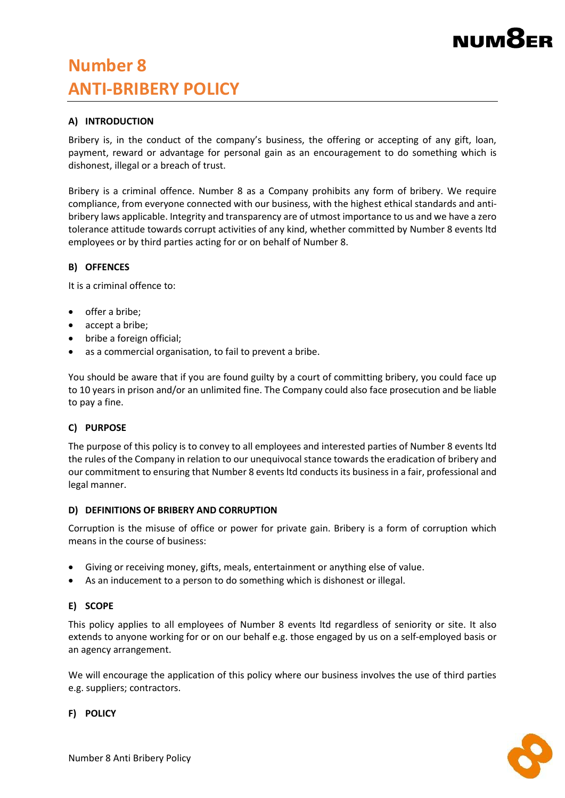# NUMX

# **Number 8 ANTI-BRIBERY POLICY**

# **A) INTRODUCTION**

Bribery is, in the conduct of the company's business, the offering or accepting of any gift, loan, payment, reward or advantage for personal gain as an encouragement to do something which is dishonest, illegal or a breach of trust.

Bribery is a criminal offence. Number 8 as a Company prohibits any form of bribery. We require compliance, from everyone connected with our business, with the highest ethical standards and antibribery laws applicable. Integrity and transparency are of utmost importance to us and we have a zero tolerance attitude towards corrupt activities of any kind, whether committed by Number 8 events ltd employees or by third parties acting for or on behalf of Number 8.

# **B) OFFENCES**

It is a criminal offence to:

- $\bullet$  offer a bribe:
- accept a bribe;
- bribe a foreign official;
- as a commercial organisation, to fail to prevent a bribe.

You should be aware that if you are found guilty by a court of committing bribery, you could face up to 10 years in prison and/or an unlimited fine. The Company could also face prosecution and be liable to pay a fine.

#### **C) PURPOSE**

The purpose of this policy is to convey to all employees and interested parties of Number 8 events ltd the rules of the Company in relation to our unequivocal stance towards the eradication of bribery and our commitment to ensuring that Number 8 events ltd conducts its business in a fair, professional and legal manner.

#### **D) DEFINITIONS OF BRIBERY AND CORRUPTION**

Corruption is the misuse of office or power for private gain. Bribery is a form of corruption which means in the course of business:

- Giving or receiving money, gifts, meals, entertainment or anything else of value.
- As an inducement to a person to do something which is dishonest or illegal.

# **E) SCOPE**

This policy applies to all employees of Number 8 events ltd regardless of seniority or site. It also extends to anyone working for or on our behalf e.g. those engaged by us on a self-employed basis or an agency arrangement.

We will encourage the application of this policy where our business involves the use of third parties e.g. suppliers; contractors.

#### **F) POLICY**

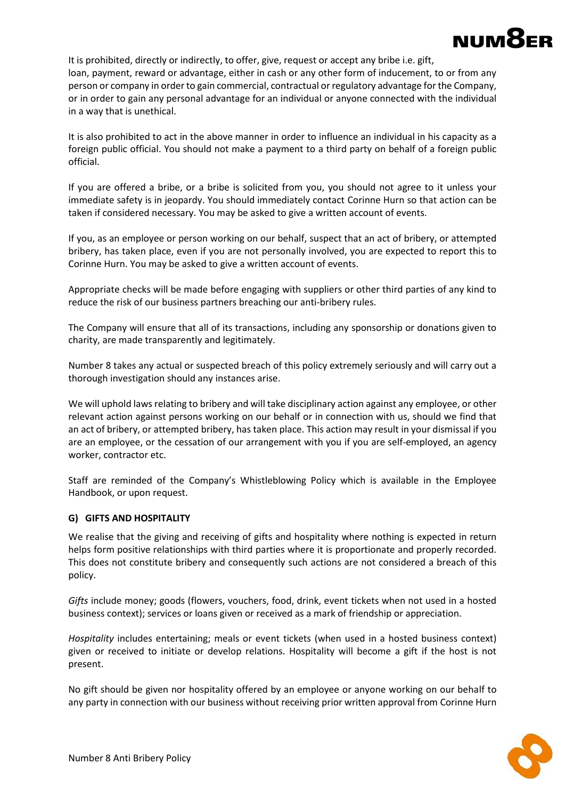

It is prohibited, directly or indirectly, to offer, give, request or accept any bribe i.e. gift, loan, payment, reward or advantage, either in cash or any other form of inducement, to or from any person or company in order to gain commercial, contractual or regulatory advantage for the Company, or in order to gain any personal advantage for an individual or anyone connected with the individual in a way that is unethical.

It is also prohibited to act in the above manner in order to influence an individual in his capacity as a foreign public official. You should not make a payment to a third party on behalf of a foreign public official.

If you are offered a bribe, or a bribe is solicited from you, you should not agree to it unless your immediate safety is in jeopardy. You should immediately contact Corinne Hurn so that action can be taken if considered necessary. You may be asked to give a written account of events.

If you, as an employee or person working on our behalf, suspect that an act of bribery, or attempted bribery, has taken place, even if you are not personally involved, you are expected to report this to Corinne Hurn. You may be asked to give a written account of events.

Appropriate checks will be made before engaging with suppliers or other third parties of any kind to reduce the risk of our business partners breaching our anti-bribery rules.

The Company will ensure that all of its transactions, including any sponsorship or donations given to charity, are made transparently and legitimately.

Number 8 takes any actual or suspected breach of this policy extremely seriously and will carry out a thorough investigation should any instances arise.

We will uphold laws relating to bribery and will take disciplinary action against any employee, or other relevant action against persons working on our behalf or in connection with us, should we find that an act of bribery, or attempted bribery, has taken place. This action may result in your dismissal if you are an employee, or the cessation of our arrangement with you if you are self-employed, an agency worker, contractor etc.

Staff are reminded of the Company's Whistleblowing Policy which is available in the Employee Handbook, or upon request.

# **G) GIFTS AND HOSPITALITY**

We realise that the giving and receiving of gifts and hospitality where nothing is expected in return helps form positive relationships with third parties where it is proportionate and properly recorded. This does not constitute bribery and consequently such actions are not considered a breach of this policy.

*Gifts* include money; goods (flowers, vouchers, food, drink, event tickets when not used in a hosted business context); services or loans given or received as a mark of friendship or appreciation.

*Hospitality* includes entertaining; meals or event tickets (when used in a hosted business context) given or received to initiate or develop relations. Hospitality will become a gift if the host is not present.

No gift should be given nor hospitality offered by an employee or anyone working on our behalf to any party in connection with our business without receiving prior written approval from Corinne Hurn